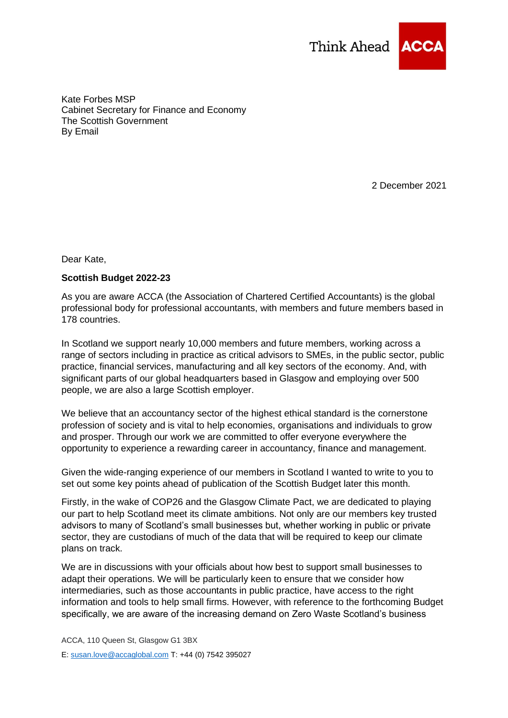

Kate Forbes MSP Cabinet Secretary for Finance and Economy The Scottish Government By Email

2 December 2021

Dear Kate,

## **Scottish Budget 2022-23**

As you are aware ACCA (the Association of Chartered Certified Accountants) is the global professional body for professional accountants, with members and future members based in 178 countries.

In Scotland we support nearly 10,000 members and future members, working across a range of sectors including in practice as critical advisors to SMEs, in the public sector, public practice, financial services, manufacturing and all key sectors of the economy. And, with significant parts of our global headquarters based in Glasgow and employing over 500 people, we are also a large Scottish employer.

We believe that an accountancy sector of the highest ethical standard is the cornerstone profession of society and is vital to help economies, organisations and individuals to grow and prosper. Through our work we are committed to offer everyone everywhere the opportunity to experience a rewarding career in accountancy, finance and management.

Given the wide-ranging experience of our members in Scotland I wanted to write to you to set out some key points ahead of publication of the Scottish Budget later this month.

Firstly, in the wake of COP26 and the Glasgow Climate Pact, we are dedicated to playing our part to help Scotland meet its climate ambitions. Not only are our members key trusted advisors to many of Scotland's small businesses but, whether working in public or private sector, they are custodians of much of the data that will be required to keep our climate plans on track.

We are in discussions with your officials about how best to support small businesses to adapt their operations. We will be particularly keen to ensure that we consider how intermediaries, such as those accountants in public practice, have access to the right information and tools to help small firms. However, with reference to the forthcoming Budget specifically, we are aware of the increasing demand on Zero Waste Scotland's business

ACCA, 110 Queen St, Glasgow G1 3BX E: [susan.love@accaglobal.com](mailto:susan.love@accaglobal.com) T: +44 (0) 7542 395027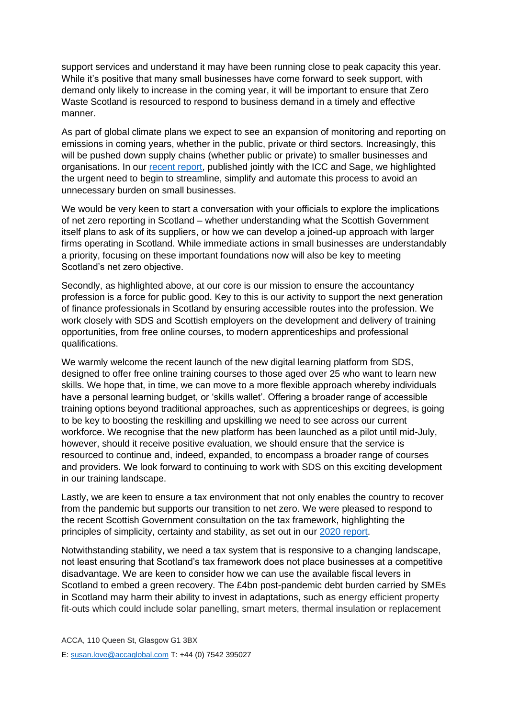support services and understand it may have been running close to peak capacity this year. While it's positive that many small businesses have come forward to seek support, with demand only likely to increase in the coming year, it will be important to ensure that Zero Waste Scotland is resourced to respond to business demand in a timely and effective manner.

As part of global climate plans we expect to see an expansion of monitoring and reporting on emissions in coming years, whether in the public, private or third sectors. Increasingly, this will be pushed down supply chains (whether public or private) to smaller businesses and organisations. In our [recent report,](https://www.accaglobal.com/ca/en/news/2021/november/policy-paper.html) published jointly with the ICC and Sage, we highlighted the urgent need to begin to streamline, simplify and automate this process to avoid an unnecessary burden on small businesses.

We would be very keen to start a conversation with your officials to explore the implications of net zero reporting in Scotland – whether understanding what the Scottish Government itself plans to ask of its suppliers, or how we can develop a joined-up approach with larger firms operating in Scotland. While immediate actions in small businesses are understandably a priority, focusing on these important foundations now will also be key to meeting Scotland's net zero objective.

Secondly, as highlighted above, at our core is our mission to ensure the accountancy profession is a force for public good. Key to this is our activity to support the next generation of finance professionals in Scotland by ensuring accessible routes into the profession. We work closely with SDS and Scottish employers on the development and delivery of training opportunities, from free online courses, to modern apprenticeships and professional qualifications.

We warmly welcome the recent launch of the new digital learning platform from SDS, designed to offer free online training courses to those aged over 25 who want to learn new skills. We hope that, in time, we can move to a more flexible approach whereby individuals have a personal learning budget, or 'skills wallet'. Offering a broader range of accessible training options beyond traditional approaches, such as apprenticeships or degrees, is going to be key to boosting the reskilling and upskilling we need to see across our current workforce. We recognise that the new platform has been launched as a pilot until mid-July, however, should it receive positive evaluation, we should ensure that the service is resourced to continue and, indeed, expanded, to encompass a broader range of courses and providers. We look forward to continuing to work with SDS on this exciting development in our training landscape.

Lastly, we are keen to ensure a tax environment that not only enables the country to recover from the pandemic but supports our transition to net zero. We were pleased to respond to the recent Scottish Government consultation on the tax framework, highlighting the principles of simplicity, certainty and stability, as set out in our [2020 report.](https://www.accaglobal.com/hk/en/professional-insights/global-profession/foundations_tax.html)

Notwithstanding stability, we need a tax system that is responsive to a changing landscape, not least ensuring that Scotland's tax framework does not place businesses at a competitive disadvantage. We are keen to consider how we can use the available fiscal levers in Scotland to embed a green recovery. The £4bn post-pandemic debt burden carried by SMEs in Scotland may harm their ability to invest in adaptations, such as energy efficient property fit-outs which could include solar panelling, smart meters, thermal insulation or replacement

ACCA, 110 Queen St, Glasgow G1 3BX E: [susan.love@accaglobal.com](mailto:susan.love@accaglobal.com) T: +44 (0) 7542 395027